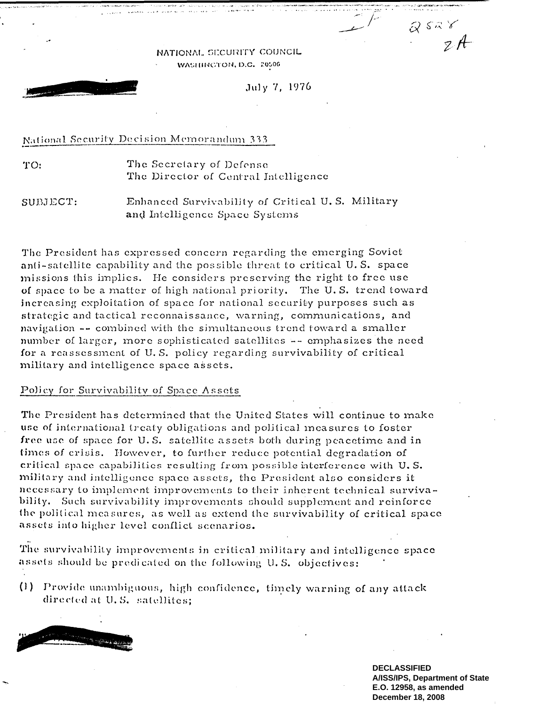NATIONAL. SECURITY COUNCIL WASHINGTON, D.C. 20506

July 7, 1976

## National Security Decision Memorandum 333

TO: The Secretary of. Defense The Director of Central Intelligence

SUBJECT: Enhanced Survivability of Critical U. S. Military and Intelligence Space Systems

The President has expressed concern regarding the emerging Soviet anti-satellite capability and the possible threat to critical U. S. space missions this implies. He considers preserving the right to free use of space to be a matter of high national priority. The U. S. trend toward increasing exploitation of space for national security purposes such as strategic and tactical reconnaissance, warning, communications, and navigation -- combined with the simultaneous trend toward a smaller number of larger, more sophisticated satellites -- emphasizes the need for a reassessment of U. S. policy regarding survivability of critical military and intelligence space assets.

## Policy for Survivability of Space Assets

The President has determined that the United States will continue to make use of international treaty obligations and political measures to foster free use of space for U. S. satellite assets both during peacetime and in times of crisis. However, to further reduce potential degradation of critical space capabilities resulting from possible interference with U. S. military and intelligence space assets, the President also considers it necessary to implement improvements to their inherent technical. bility. Such survivability improvements should supplement and reinforce the political measures, as well as extend the survivability of critical space assets into higher level conflict scenarios.

The survivability improvements in critical military and intelligence space assets should be predicated on the following U. S. objectives:

(I) Provide unambiguous high confidence, timely warning of any attack directed at U. S. satellites;



**DECLASSIFIED A/ISS/IPS, Department of State E.O. 12958, as amended December 18, 2008**

 $2528$ 

 $zA$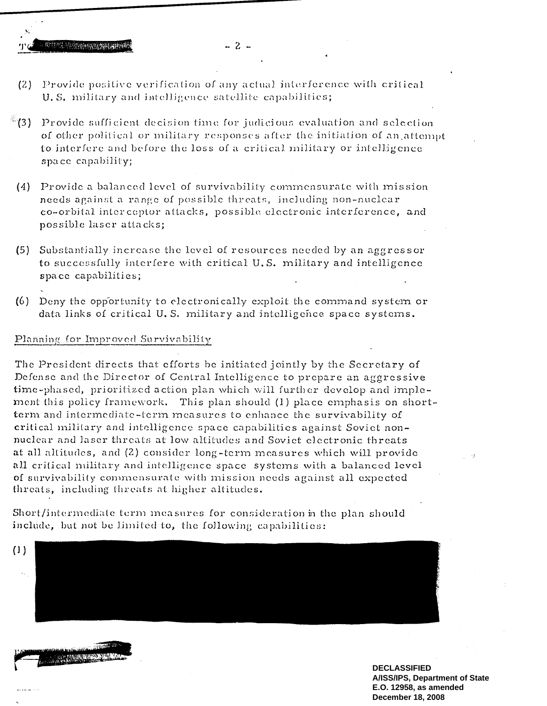$-2-$ 

- (2) Provide positive verification of any actual interference with critical U. S. military and intelligence satellite capabilities;
- $^{\circledast}$ (3) Provide sufficient decision time for judicious-evaluation and selection of other political or military responses after the initiation of an attempt to interfere and before the loss of a critical military or intelligence space capability;
- (4) Provide a balanced level of survivability commensurate with mission needs against a range of possible threats, including non-nuclear co-orbital interceptor attacks, possible electronic interference, and possible laser attacks;
- (5) Substantially increase the level of resources needed by an aggressor to successfully interfere with critical U. S. military and intelligence space capabilities;
- (6) Deny the opportunity to electronically exploit the command system or data links of critical U. S. military and intelligence space systems.

## Planning for Improved Survivability

The President directs that efforts be initiated jointly by the Secretary of Defense and the Director of Central Intelligence to prepare an aggressive time-phased, prioritized action plan which will further develop and implement this policy framework. This plan should (1) place emphasis on shortterm and intermediate-tern measures to enhance the survivability of critical. military and intelligence space capabilities against Soviet nonnuclear and laser threats at low altitudes and Soviet electronic threats at all altitudes, and (2) consider long-term measures which will provide all critical military and intelligence space systems with a balanced level of survivability commensurate with mission needs against all expected threats, including threats at higher altitudes.

Short/intermediate term measures for consideration in the plan should include, but not be limited to, the following capabilities:





**DECLASSIFIED A/ISS/IPS, Department of State E.O. 12958, as amended December 18, 2008**